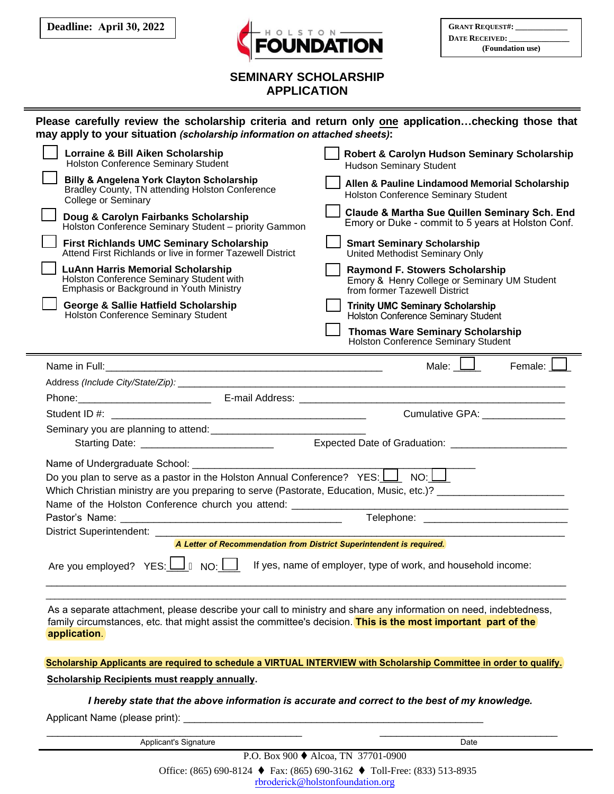**Deadline: April 30, 2022**



| <b>GRANT REQUEST#:</b> |  |
|------------------------|--|
| <b>DATE RECEIVED:</b>  |  |
| (Foundation use)       |  |

## **SEMINARY SCHOLARSHIP APPLICATION**

| Please carefully review the scholarship criteria and return only one applicationchecking those that<br>may apply to your situation (scholarship information on attached sheets):                                                                                                                                                                                                                                                                                                        |                                                                                                                        |  |
|-----------------------------------------------------------------------------------------------------------------------------------------------------------------------------------------------------------------------------------------------------------------------------------------------------------------------------------------------------------------------------------------------------------------------------------------------------------------------------------------|------------------------------------------------------------------------------------------------------------------------|--|
| Lorraine & Bill Aiken Scholarship<br><b>Holston Conference Seminary Student</b>                                                                                                                                                                                                                                                                                                                                                                                                         | Robert & Carolyn Hudson Seminary Scholarship<br><b>Hudson Seminary Student</b>                                         |  |
| <b>Billy &amp; Angelena York Clayton Scholarship</b><br>Bradley County, TN attending Holston Conference<br><b>College or Seminary</b>                                                                                                                                                                                                                                                                                                                                                   | Allen & Pauline Lindamood Memorial Scholarship<br><b>Holston Conference Seminary Student</b>                           |  |
| Doug & Carolyn Fairbanks Scholarship<br>Holston Conference Seminary Student - priority Gammon                                                                                                                                                                                                                                                                                                                                                                                           | Claude & Martha Sue Quillen Seminary Sch. End<br>Emory or Duke - commit to 5 years at Holston Conf.                    |  |
| <b>First Richlands UMC Seminary Scholarship</b><br>Attend First Richlands or live in former Tazewell District                                                                                                                                                                                                                                                                                                                                                                           | <b>Smart Seminary Scholarship</b><br>United Methodist Seminary Only                                                    |  |
| <b>LuAnn Harris Memorial Scholarship</b><br>Holston Conference Seminary Student with<br>Emphasis or Background in Youth Ministry                                                                                                                                                                                                                                                                                                                                                        | <b>Raymond F. Stowers Scholarship</b><br>Emory & Henry College or Seminary UM Student<br>from former Tazewell District |  |
| George & Sallie Hatfield Scholarship<br>Holston Conference Seminary Student                                                                                                                                                                                                                                                                                                                                                                                                             | <b>Trinity UMC Seminary Scholarship</b><br>Holston Conference Seminary Student                                         |  |
|                                                                                                                                                                                                                                                                                                                                                                                                                                                                                         | <b>Thomas Ware Seminary Scholarship</b><br><b>Holston Conference Seminary Student</b>                                  |  |
|                                                                                                                                                                                                                                                                                                                                                                                                                                                                                         | Male: $\Box$<br>Female: L                                                                                              |  |
|                                                                                                                                                                                                                                                                                                                                                                                                                                                                                         |                                                                                                                        |  |
|                                                                                                                                                                                                                                                                                                                                                                                                                                                                                         |                                                                                                                        |  |
|                                                                                                                                                                                                                                                                                                                                                                                                                                                                                         | Cumulative GPA: _______________                                                                                        |  |
|                                                                                                                                                                                                                                                                                                                                                                                                                                                                                         |                                                                                                                        |  |
|                                                                                                                                                                                                                                                                                                                                                                                                                                                                                         |                                                                                                                        |  |
| Name of Undergraduate School: Name of Undergraduate School:<br>Do you plan to serve as a pastor in the Holston Annual Conference? $YES: \perp \longrightarrow NO: \perp$<br>Which Christian ministry are you preparing to serve (Pastorate, Education, Music, etc.)? _____________________<br>Name of the Holston Conference church you attend: _______________<br><u> 1989 - Johann Barbara, martxa alemaniar argumento de la contrada de la contrada de la contrada de la contrad</u> |                                                                                                                        |  |
|                                                                                                                                                                                                                                                                                                                                                                                                                                                                                         |                                                                                                                        |  |
| District Superintendent: ___________                                                                                                                                                                                                                                                                                                                                                                                                                                                    |                                                                                                                        |  |
| A Letter of Recommendation from District Superintendent is required.                                                                                                                                                                                                                                                                                                                                                                                                                    |                                                                                                                        |  |
| Are you employed? YES: $\Box$ $\acute{A}$ NO: $\Box$ If yes, name of employer, type of work, and household income:                                                                                                                                                                                                                                                                                                                                                                      |                                                                                                                        |  |
| As a separate attachment, please describe your call to ministry and share any information on need, indebtedness,<br>family circumstances, etc. that might assist the committee's decision. This is the most important part of the<br>application.                                                                                                                                                                                                                                       |                                                                                                                        |  |

**Scholarship Applicants are required to schedule a VIRTUAL INTERVIEW with Scholarship Committee in order to qualify.**

**Scholarship Recipients must reapply annually.**

*I hereby state that the above information is accurate and correct to the best of my knowledge.*

Applicant Name (please print):

\_\_\_\_\_\_\_\_\_\_\_\_\_\_\_\_\_\_\_\_\_\_\_\_\_\_\_\_\_\_\_\_\_\_\_\_\_\_\_\_\_\_\_\_\_\_ \_\_\_\_\_\_\_\_\_\_\_\_\_\_\_\_\_\_\_\_\_\_\_\_\_\_\_\_\_\_\_\_ Applicant's Signature Date

P.O. Box 900 ♦ Alcoa, TN 37701-0900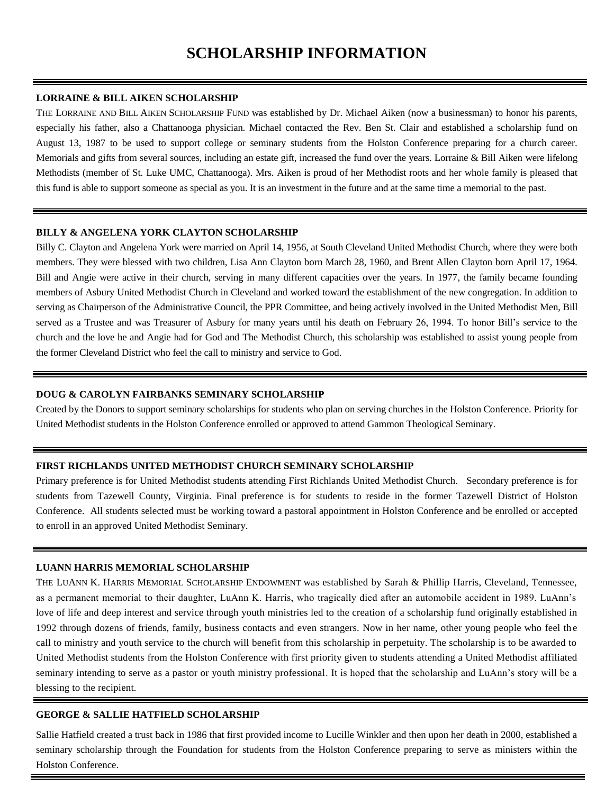# **SCHOLARSHIP INFORMATION**

#### **LORRAINE & BILL AIKEN SCHOLARSHIP**

THE LORRAINE AND BILL AIKEN SCHOLARSHIP FUND was established by Dr. Michael Aiken (now a businessman) to honor his parents, especially his father, also a Chattanooga physician. Michael contacted the Rev. Ben St. Clair and established a scholarship fund on August 13, 1987 to be used to support college or seminary students from the Holston Conference preparing for a church career. Memorials and gifts from several sources, including an estate gift, increased the fund over the years. Lorraine & Bill Aiken were lifelong Methodists (member of St. Luke UMC, Chattanooga). Mrs. Aiken is proud of her Methodist roots and her whole family is pleased that this fund is able to support someone as special as you. It is an investment in the future and at the same time a memorial to the past.

#### **BILLY & ANGELENA YORK CLAYTON SCHOLARSHIP**

Billy C. Clayton and Angelena York were married on April 14, 1956, at South Cleveland United Methodist Church, where they were both members. They were blessed with two children, Lisa Ann Clayton born March 28, 1960, and Brent Allen Clayton born April 17, 1964. Bill and Angie were active in their church, serving in many different capacities over the years. In 1977, the family became founding members of Asbury United Methodist Church in Cleveland and worked toward the establishment of the new congregation. In addition to serving as Chairperson of the Administrative Council, the PPR Committee, and being actively involved in the United Methodist Men, Bill served as a Trustee and was Treasurer of Asbury for many years until his death on February 26, 1994. To honor Bill's service to the church and the love he and Angie had for God and The Methodist Church, this scholarship was established to assist young people from the former Cleveland District who feel the call to ministry and service to God.

#### **DOUG & CAROLYN FAIRBANKS SEMINARY SCHOLARSHIP**

Created by the Donors to support seminary scholarships for students who plan on serving churches in the Holston Conference. Priority for United Methodist students in the Holston Conference enrolled or approved to attend Gammon Theological Seminary.

#### **FIRST RICHLANDS UNITED METHODIST CHURCH SEMINARY SCHOLARSHIP**

Primary preference is for United Methodist students attending First Richlands United Methodist Church. Secondary preference is for students from Tazewell County, Virginia. Final preference is for students to reside in the former Tazewell District of Holston Conference. All students selected must be working toward a pastoral appointment in Holston Conference and be enrolled or accepted to enroll in an approved United Methodist Seminary.

#### **LUANN HARRIS MEMORIAL SCHOLARSHIP**

THE LUANN K. HARRIS MEMORIAL SCHOLARSHIP ENDOWMENT was established by Sarah & Phillip Harris, Cleveland, Tennessee, as a permanent memorial to their daughter, LuAnn K. Harris, who tragically died after an automobile accident in 1989. LuAnn's love of life and deep interest and service through youth ministries led to the creation of a scholarship fund originally established in 1992 through dozens of friends, family, business contacts and even strangers. Now in her name, other young people who feel the call to ministry and youth service to the church will benefit from this scholarship in perpetuity. The scholarship is to be awarded to United Methodist students from the Holston Conference with first priority given to students attending a United Methodist affiliated seminary intending to serve as a pastor or youth ministry professional. It is hoped that the scholarship and LuAnn's story will be a blessing to the recipient.

#### **GEORGE & SALLIE HATFIELD SCHOLARSHIP**

Sallie Hatfield created a trust back in 1986 that first provided income to Lucille Winkler and then upon her death in 2000, established a seminary scholarship through the Foundation for students from the Holston Conference preparing to serve as ministers within the Holston Conference.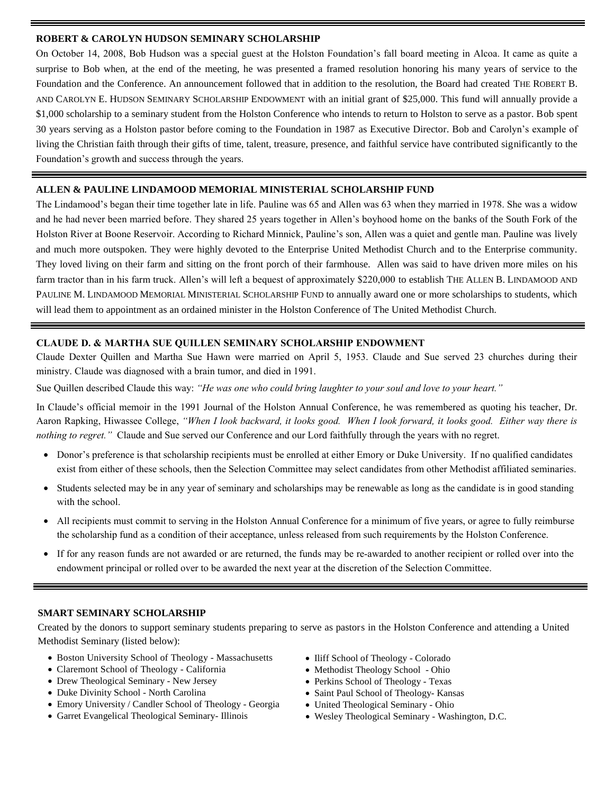#### **ROBERT & CAROLYN HUDSON SEMINARY SCHOLARSHIP**

On October 14, 2008, Bob Hudson was a special guest at the Holston Foundation's fall board meeting in Alcoa. It came as quite a surprise to Bob when, at the end of the meeting, he was presented a framed resolution honoring his many years of service to the Foundation and the Conference. An announcement followed that in addition to the resolution, the Board had created THE ROBERT B. AND CAROLYN E. HUDSON SEMINARY SCHOLARSHIP ENDOWMENT with an initial grant of \$25,000. This fund will annually provide a \$1,000 scholarship to a seminary student from the Holston Conference who intends to return to Holston to serve as a pastor. Bob spent 30 years serving as a Holston pastor before coming to the Foundation in 1987 as Executive Director. Bob and Carolyn's example of living the Christian faith through their gifts of time, talent, treasure, presence, and faithful service have contributed significantly to the Foundation's growth and success through the years.

#### **ALLEN & PAULINE LINDAMOOD MEMORIAL MINISTERIAL SCHOLARSHIP FUND**

The Lindamood's began their time together late in life. Pauline was 65 and Allen was 63 when they married in 1978. She was a widow and he had never been married before. They shared 25 years together in Allen's boyhood home on the banks of the South Fork of the Holston River at Boone Reservoir. According to Richard Minnick, Pauline's son, Allen was a quiet and gentle man. Pauline was lively and much more outspoken. They were highly devoted to the Enterprise United Methodist Church and to the Enterprise community. They loved living on their farm and sitting on the front porch of their farmhouse. Allen was said to have driven more miles on his farm tractor than in his farm truck. Allen's will left a bequest of approximately \$220,000 to establish THE ALLEN B. LINDAMOOD AND PAULINE M. LINDAMOOD MEMORIAL MINISTERIAL SCHOLARSHIP FUND to annually award one or more scholarships to students, which will lead them to appointment as an ordained minister in the Holston Conference of The United Methodist Church.

#### **CLAUDE D. & MARTHA SUE QUILLEN SEMINARY SCHOLARSHIP ENDOWMENT**

Claude Dexter Quillen and Martha Sue Hawn were married on April 5, 1953. Claude and Sue served 23 churches during their ministry. Claude was diagnosed with a brain tumor, and died in 1991.

Sue Quillen described Claude this way: *"He was one who could bring laughter to your soul and love to your heart."*

In Claude's official memoir in the 1991 Journal of the Holston Annual Conference, he was remembered as quoting his teacher, Dr. Aaron Rapking, Hiwassee College, *"When I look backward, it looks good. When I look forward, it looks good. Either way there is nothing to regret."* Claude and Sue served our Conference and our Lord faithfully through the years with no regret.

- Donor's preference is that scholarship recipients must be enrolled at either Emory or Duke University. If no qualified candidates exist from either of these schools, then the Selection Committee may select candidates from other Methodist affiliated seminaries.
- Students selected may be in any year of seminary and scholarships may be renewable as long as the candidate is in good standing with the school.
- All recipients must commit to serving in the Holston Annual Conference for a minimum of five years, or agree to fully reimburse the scholarship fund as a condition of their acceptance, unless released from such requirements by the Holston Conference.
- If for any reason funds are not awarded or are returned, the funds may be re-awarded to another recipient or rolled over into the endowment principal or rolled over to be awarded the next year at the discretion of the Selection Committee.

#### **SMART SEMINARY SCHOLARSHIP**

Created by the donors to support seminary students preparing to serve as pastors in the Holston Conference and attending a United Methodist Seminary (listed below):

- Boston University School of Theology Massachusetts
- Claremont School of Theology California
- Drew Theological Seminary New Jersey
- Duke Divinity School North Carolina
- Emory University / Candler School of Theology Georgia
- Garret Evangelical Theological Seminary- Illinois
- Iliff School of Theology Colorado
- Methodist Theology School Ohio
- Perkins School of Theology Texas
- Saint Paul School of Theology- Kansas
- United Theological Seminary Ohio
- Wesley Theological Seminary Washington, D.C.